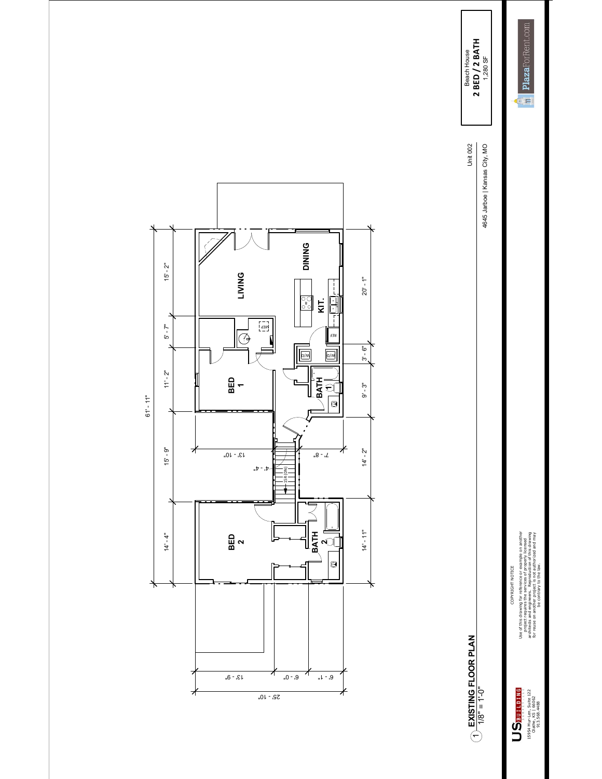

Use of this drawing for reference or example on another<br>architects and engineers . Reproduction of this drawing<br>architects and engineers . Reproduction of this drawing<br>for rease on angle contrary to the law . Use of this drawing for reference or example on another architects and engineers. Reproduction of this drawing for reuse on another project is not authorized and may project requires the services of properly licensed COPYRIGHT NOTICE be contrary to the law. COPYRIGHT NOTICE

 $\begin{array}{c} \sum_{y} \sum_{y} \min_{x} \frac{1}{x} \prod_{y} \min_{y} \frac{1}{x} \text{.} \\\\ \text{15954 M} \min_{y} \min_{y} \min_{y} \frac{122}{122} \\\\ \text{15954 M} \min_{y} \min_{y} \frac{122}{125682} \end{array}$ 15954 Mur-Len, Suite 122 Olathe, KS | 66062 913.568.4488

Beach House<br>2 BED / 2 BATH<br>1,280 SF **EXISTING FLOOR PLAN** 4645 Jarboe | Kansas City, MO **2 BED / 2 BATH** 1,280 SF Beach House Unit 002

4645 Jarboe | Kansas City, MO

Unit 002

 1/8" = 1'-0"  $\bigcirc$  EXISTING FLOOR PLAN

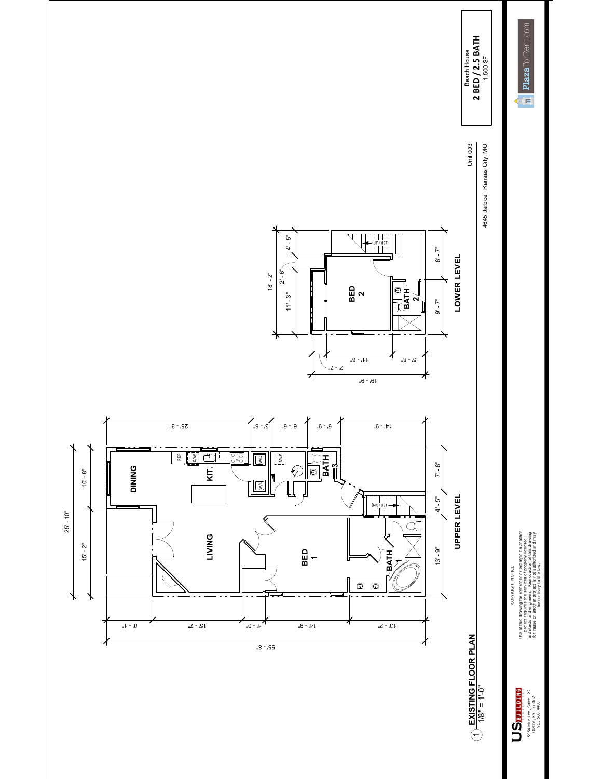

Use of this drawing for reference or example on another<br>architect red engineers, Reproduction of Visionawa<br>architect red engineers, Reproduction of Visionawa<br>for rease on another project, is not authorized and may Use of this drawing for reference or example on another architects and engineers. Reproduction of this drawing for reuse on another project is not authorized and may project requires the services of properly licensed COPYRIGHT NOTICE be contrary to the law. COPYRIGHT NOTICE

 $\begin{array}{c} \sum_{y} \sum_{y} \min_{x} \frac{1}{x} \prod_{y} \min_{y} \frac{1}{x} \text{.} \\\\ \text{15954 M} \min_{y} \min_{y} \min_{y} \frac{122}{122} \\\\ \text{15954 M} \min_{y} \min_{y} \frac{122}{125682} \end{array}$ 15954 Mur-Len, Suite 122 Olathe, KS | 66062 913.568.4488

1/8" = 1'-0"

2 BED / 2.5 BATH **2 BED / 2.5 BATH** Beach House Beach House

> 4645 Jarboe | Kansas City, MO 4645 Jarboe | Kansas City, MO

Unit 003